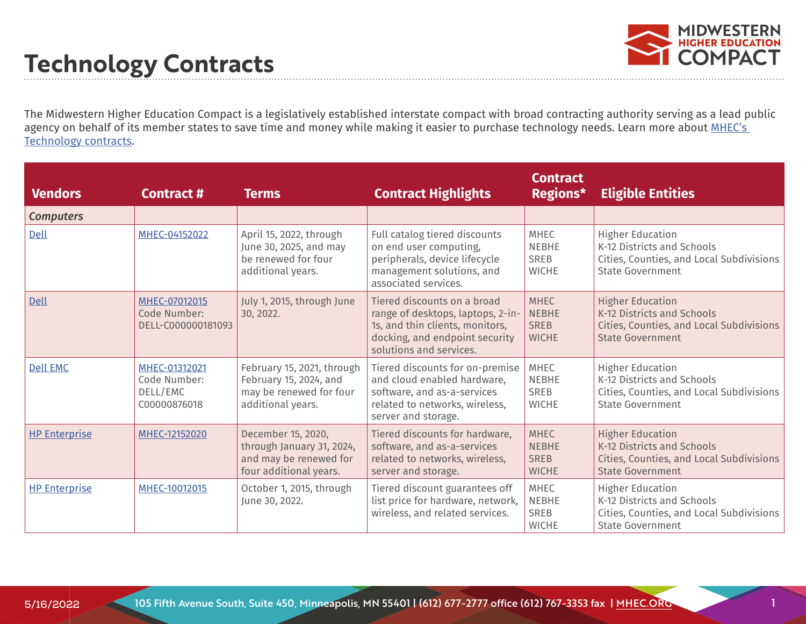

1

#### **Technology Contracts**

The Midwestern Higher Education Compact is a legislatively established interstate compact with broad contracting authority serving as a lead public agency on behalf of its member states to save time and money while making it easier to purchase technology needs. Learn more about MHEC's [Technology contracts](https://www.mhec.org/contracts/technology).

| <b>Vendors</b>       | Contract #                                                | <b>Terms</b>                                                                                         | <b>Contract Highlights</b>                                                                                                                                       | <b>Contract</b><br>Regions*                                | <b>Eligible Entities</b>                                                                                                     |
|----------------------|-----------------------------------------------------------|------------------------------------------------------------------------------------------------------|------------------------------------------------------------------------------------------------------------------------------------------------------------------|------------------------------------------------------------|------------------------------------------------------------------------------------------------------------------------------|
| <b>Computers</b>     |                                                           |                                                                                                      |                                                                                                                                                                  |                                                            |                                                                                                                              |
| Dell                 | MHEC-04152022                                             | April 15, 2022, through<br>June 30, 2025, and may<br>be renewed for four<br>additional years.        | Full catalog tiered discounts<br>on end user computing,<br>peripherals, device lifecycle<br>management solutions, and<br>associated services.                    | <b>MHEC</b><br><b>NEBHE</b><br><b>SREB</b><br><b>WICHE</b> | <b>Higher Education</b><br>K-12 Districts and Schools<br>Cities, Counties, and Local Subdivisions<br><b>State Government</b> |
| Dell                 | MHEC-07012015<br>Code Number:<br>DELL-C000000181093       | July 1, 2015, through June<br>30, 2022.                                                              | Tiered discounts on a broad<br>range of desktops, laptops, 2-in-<br>1s, and thin clients, monitors,<br>docking, and endpoint security<br>solutions and services. | <b>MHEC</b><br><b>NEBHE</b><br><b>SREB</b><br><b>WICHE</b> | <b>Higher Education</b><br>K-12 Districts and Schools<br>Cities, Counties, and Local Subdivisions<br><b>State Government</b> |
| <b>Dell EMC</b>      | MHEC-01312021<br>Code Number:<br>DELL/EMC<br>C00000876018 | February 15, 2021, through<br>February 15, 2024, and<br>may be renewed for four<br>additional years. | Tiered discounts for on-premise<br>and cloud enabled hardware,<br>software, and as-a-services<br>related to networks, wireless,<br>server and storage.           | <b>MHEC</b><br><b>NEBHE</b><br><b>SREB</b><br><b>WICHE</b> | <b>Higher Education</b><br>K-12 Districts and Schools<br>Cities, Counties, and Local Subdivisions<br><b>State Government</b> |
| <b>HP Enterprise</b> | MHEC-12152020                                             | December 15, 2020,<br>through January 31, 2024,<br>and may be renewed for<br>four additional years.  | Tiered discounts for hardware,<br>software, and as-a-services<br>related to networks, wireless,<br>server and storage.                                           | <b>MHEC</b><br><b>NEBHE</b><br><b>SREB</b><br><b>WICHE</b> | <b>Higher Education</b><br>K-12 Districts and Schools<br>Cities, Counties, and Local Subdivisions<br><b>State Government</b> |
| <b>HP Enterprise</b> | MHEC-10012015                                             | October 1, 2015, through<br>June 30, 2022.                                                           | Tiered discount guarantees off<br>list price for hardware, network,<br>wireless, and related services.                                                           | <b>MHEC</b><br><b>NEBHE</b><br><b>SREB</b><br><b>WICHE</b> | <b>Higher Education</b><br>K-12 Districts and Schools<br>Cities, Counties, and Local Subdivisions<br><b>State Government</b> |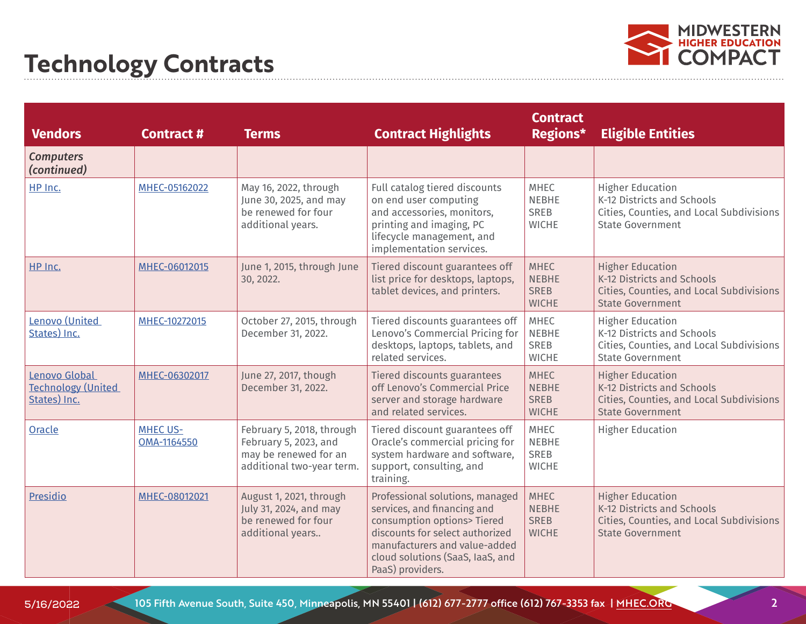

| <b>Vendors</b>                                             | <b>Contract#</b>               | <b>Terms</b>                                                                                             | <b>Contract Highlights</b>                                                                                                                                                                                                | <b>Contract</b><br>Regions*                                | <b>Eligible Entities</b>                                                                                                     |
|------------------------------------------------------------|--------------------------------|----------------------------------------------------------------------------------------------------------|---------------------------------------------------------------------------------------------------------------------------------------------------------------------------------------------------------------------------|------------------------------------------------------------|------------------------------------------------------------------------------------------------------------------------------|
| <b>Computers</b><br>(continued)                            |                                |                                                                                                          |                                                                                                                                                                                                                           |                                                            |                                                                                                                              |
| HP Inc.                                                    | MHEC-05162022                  | May 16, 2022, through<br>June 30, 2025, and may<br>be renewed for four<br>additional years.              | Full catalog tiered discounts<br>on end user computing<br>and accessories, monitors,<br>printing and imaging, PC<br>lifecycle management, and<br>implementation services.                                                 | <b>MHEC</b><br><b>NEBHE</b><br><b>SREB</b><br><b>WICHE</b> | <b>Higher Education</b><br>K-12 Districts and Schools<br>Cities, Counties, and Local Subdivisions<br><b>State Government</b> |
| HP Inc.                                                    | MHEC-06012015                  | June 1, 2015, through June<br>30, 2022.                                                                  | Tiered discount guarantees off<br>list price for desktops, laptops,<br>tablet devices, and printers.                                                                                                                      | <b>MHEC</b><br><b>NEBHE</b><br><b>SREB</b><br><b>WICHE</b> | <b>Higher Education</b><br>K-12 Districts and Schools<br>Cities, Counties, and Local Subdivisions<br><b>State Government</b> |
| Lenovo (United<br>States) Inc.                             | MHEC-10272015                  | October 27, 2015, through<br>December 31, 2022.                                                          | Tiered discounts guarantees off<br>Lenovo's Commercial Pricing for<br>desktops, laptops, tablets, and<br>related services.                                                                                                | MHEC<br><b>NEBHE</b><br><b>SREB</b><br><b>WICHE</b>        | <b>Higher Education</b><br>K-12 Districts and Schools<br>Cities, Counties, and Local Subdivisions<br><b>State Government</b> |
| Lenovo Global<br><b>Technology (United</b><br>States) Inc. | MHEC-06302017                  | June 27, 2017, though<br>December 31, 2022.                                                              | Tiered discounts guarantees<br>off Lenovo's Commercial Price<br>server and storage hardware<br>and related services.                                                                                                      | <b>MHEC</b><br><b>NEBHE</b><br><b>SREB</b><br><b>WICHE</b> | <b>Higher Education</b><br>K-12 Districts and Schools<br>Cities, Counties, and Local Subdivisions<br><b>State Government</b> |
| Oracle                                                     | <b>MHEC US-</b><br>OMA-1164550 | February 5, 2018, through<br>February 5, 2023, and<br>may be renewed for an<br>additional two-year term. | Tiered discount guarantees off<br>Oracle's commercial pricing for<br>system hardware and software,<br>support, consulting, and<br>training.                                                                               | MHEC<br><b>NEBHE</b><br><b>SREB</b><br><b>WICHE</b>        | <b>Higher Education</b>                                                                                                      |
| Presidio                                                   | MHEC-08012021                  | August 1, 2021, through<br>July 31, 2024, and may<br>be renewed for four<br>additional years             | Professional solutions, managed<br>services, and financing and<br>consumption options> Tiered<br>discounts for select authorized<br>manufacturers and value-added<br>cloud solutions (SaaS, IaaS, and<br>PaaS) providers. | <b>MHEC</b><br><b>NEBHE</b><br><b>SREB</b><br><b>WICHE</b> | <b>Higher Education</b><br>K-12 Districts and Schools<br>Cities, Counties, and Local Subdivisions<br><b>State Government</b> |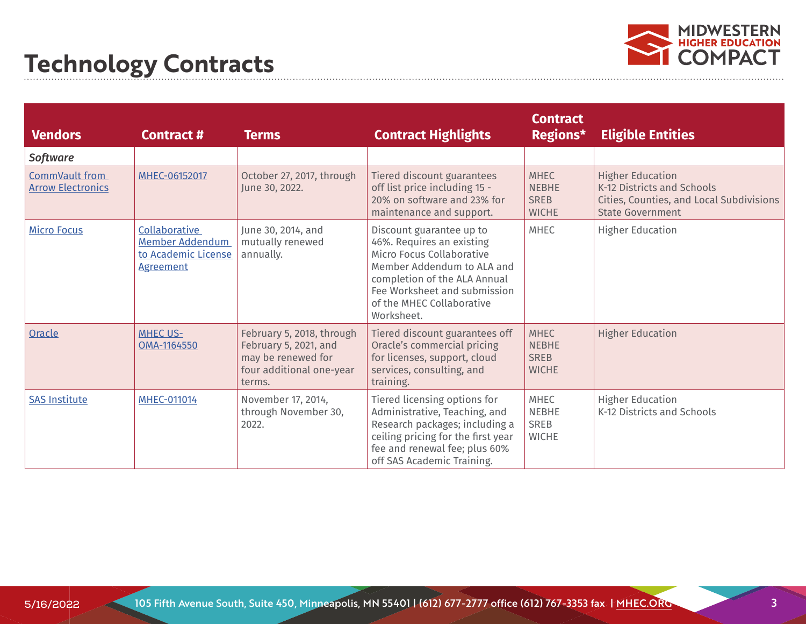

| <b>Vendors</b>                             | <b>Contract #</b>                                                                  | <b>Terms</b>                                                                                                   | <b>Contract Highlights</b>                                                                                                                                                                                                  | <b>Contract</b><br>Regions*                                | <b>Eligible Entities</b>                                                                                                     |
|--------------------------------------------|------------------------------------------------------------------------------------|----------------------------------------------------------------------------------------------------------------|-----------------------------------------------------------------------------------------------------------------------------------------------------------------------------------------------------------------------------|------------------------------------------------------------|------------------------------------------------------------------------------------------------------------------------------|
| Software                                   |                                                                                    |                                                                                                                |                                                                                                                                                                                                                             |                                                            |                                                                                                                              |
| CommVault from<br><b>Arrow Electronics</b> | MHEC-06152017                                                                      | October 27, 2017, through<br>June 30, 2022.                                                                    | Tiered discount guarantees<br>off list price including 15 -<br>20% on software and 23% for<br>maintenance and support.                                                                                                      | <b>MHEC</b><br><b>NEBHE</b><br><b>SREB</b><br><b>WICHE</b> | <b>Higher Education</b><br>K-12 Districts and Schools<br>Cities, Counties, and Local Subdivisions<br><b>State Government</b> |
| <b>Micro Focus</b>                         | Collaborative<br><b>Member Addendum</b><br>to Academic License<br><b>Agreement</b> | June 30, 2014, and<br>mutually renewed<br>annually.                                                            | Discount guarantee up to<br>46%. Requires an existing<br>Micro Focus Collaborative<br>Member Addendum to ALA and<br>completion of the ALA Annual<br>Fee Worksheet and submission<br>of the MHEC Collaborative<br>Worksheet. | <b>MHEC</b>                                                | <b>Higher Education</b>                                                                                                      |
| Oracle                                     | <b>MHEC US-</b><br>OMA-1164550                                                     | February 5, 2018, through<br>February 5, 2021, and<br>may be renewed for<br>four additional one-year<br>terms. | Tiered discount guarantees off<br>Oracle's commercial pricing<br>for licenses, support, cloud<br>services, consulting, and<br>training.                                                                                     | <b>MHEC</b><br><b>NEBHE</b><br><b>SREB</b><br><b>WICHE</b> | <b>Higher Education</b>                                                                                                      |
| <b>SAS Institute</b>                       | <b>MHEC-011014</b>                                                                 | November 17, 2014,<br>through November 30,<br>2022.                                                            | Tiered licensing options for<br>Administrative, Teaching, and<br>Research packages; including a<br>ceiling pricing for the first year<br>fee and renewal fee; plus 60%<br>off SAS Academic Training.                        | <b>MHEC</b><br><b>NEBHE</b><br><b>SREB</b><br><b>WICHE</b> | <b>Higher Education</b><br>K-12 Districts and Schools                                                                        |

3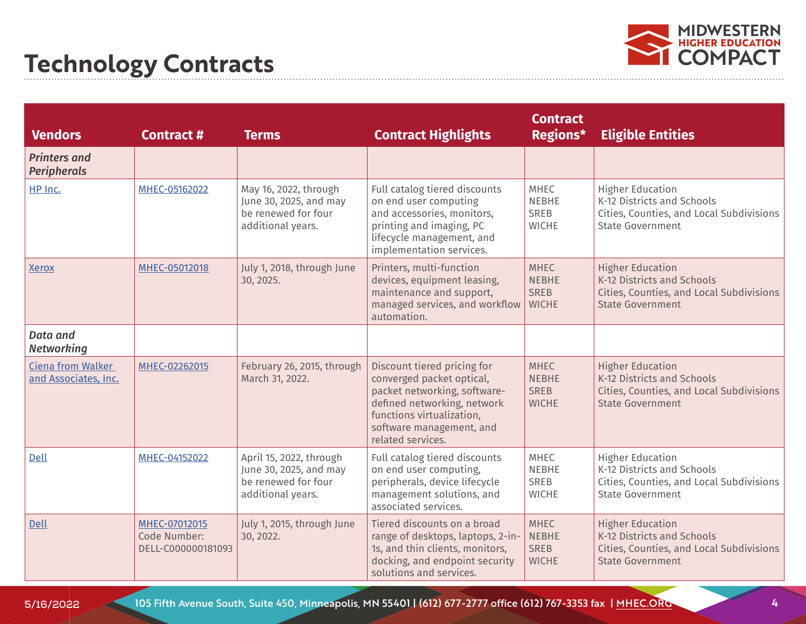

| <b>Vendors</b>                                   | <b>Contract #</b>                                   | <b>Terms</b>                                                                                  | <b>Contract Highlights</b>                                                                                                                                                                            | <b>Contract</b><br>Regions*                                | <b>Eligible Entities</b>                                                                                                     |
|--------------------------------------------------|-----------------------------------------------------|-----------------------------------------------------------------------------------------------|-------------------------------------------------------------------------------------------------------------------------------------------------------------------------------------------------------|------------------------------------------------------------|------------------------------------------------------------------------------------------------------------------------------|
| <b>Printers and</b><br><b>Peripherals</b>        |                                                     |                                                                                               |                                                                                                                                                                                                       |                                                            |                                                                                                                              |
| HP Inc.                                          | MHEC-05162022                                       | May 16, 2022, through<br>June 30, 2025, and may<br>be renewed for four<br>additional years.   | Full catalog tiered discounts<br>on end user computing<br>and accessories, monitors,<br>printing and imaging, PC<br>lifecycle management, and<br>implementation services.                             | <b>MHEC</b><br><b>NEBHE</b><br>SREB<br><b>WICHE</b>        | <b>Higher Education</b><br>K-12 Districts and Schools<br>Cities, Counties, and Local Subdivisions<br><b>State Government</b> |
| <b>Xerox</b>                                     | MHEC-05012018                                       | July 1, 2018, through June<br>30, 2025.                                                       | Printers, multi-function<br>devices, equipment leasing,<br>maintenance and support,<br>managed services, and workflow<br>automation.                                                                  | <b>MHEC</b><br><b>NEBHE</b><br><b>SREB</b><br><b>WICHE</b> | <b>Higher Education</b><br>K-12 Districts and Schools<br>Cities, Counties, and Local Subdivisions<br><b>State Government</b> |
| <b>Data and</b><br><b>Networking</b>             |                                                     |                                                                                               |                                                                                                                                                                                                       |                                                            |                                                                                                                              |
| <b>Ciena from Walker</b><br>and Associates, Inc. | MHEC-02262015                                       | February 26, 2015, through<br>March 31, 2022.                                                 | Discount tiered pricing for<br>converged packet optical,<br>packet networking, software-<br>defined networking, network<br>functions virtualization,<br>software management, and<br>related services. | <b>MHEC</b><br><b>NEBHE</b><br><b>SREB</b><br><b>WICHE</b> | <b>Higher Education</b><br>K-12 Districts and Schools<br>Cities, Counties, and Local Subdivisions<br><b>State Government</b> |
| Dell                                             | MHEC-04152022                                       | April 15, 2022, through<br>June 30, 2025, and may<br>be renewed for four<br>additional years. | Full catalog tiered discounts<br>on end user computing,<br>peripherals, device lifecycle<br>management solutions, and<br>associated services.                                                         | <b>MHEC</b><br><b>NEBHE</b><br><b>SREB</b><br><b>WICHE</b> | <b>Higher Education</b><br>K-12 Districts and Schools<br>Cities, Counties, and Local Subdivisions<br><b>State Government</b> |
| Dell                                             | MHEC-07012015<br>Code Number:<br>DELL-C000000181093 | July 1, 2015, through June<br>30, 2022.                                                       | Tiered discounts on a broad<br>range of desktops, laptops, 2-in-<br>1s, and thin clients, monitors,<br>docking, and endpoint security<br>solutions and services.                                      | <b>MHEC</b><br><b>NEBHE</b><br><b>SREB</b><br><b>WICHE</b> | <b>Higher Education</b><br>K-12 Districts and Schools<br>Cities, Counties, and Local Subdivisions<br><b>State Government</b> |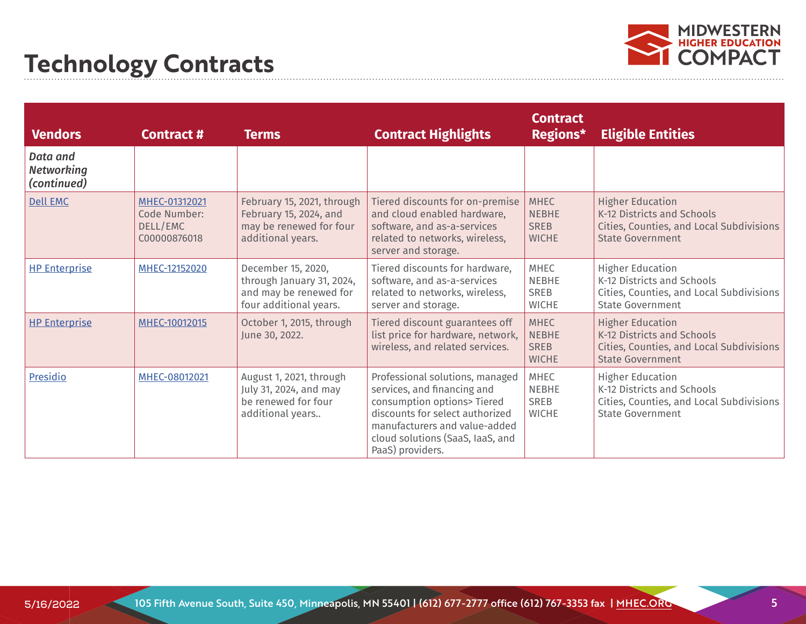

| <b>Vendors</b>                               | Contract #                                                | <b>Terms</b>                                                                                         | <b>Contract Highlights</b>                                                                                                                                                                                                | <b>Contract</b><br>Regions*                                | <b>Eligible Entities</b>                                                                                                     |
|----------------------------------------------|-----------------------------------------------------------|------------------------------------------------------------------------------------------------------|---------------------------------------------------------------------------------------------------------------------------------------------------------------------------------------------------------------------------|------------------------------------------------------------|------------------------------------------------------------------------------------------------------------------------------|
| Data and<br><b>Networking</b><br>(continued) |                                                           |                                                                                                      |                                                                                                                                                                                                                           |                                                            |                                                                                                                              |
| <b>Dell EMC</b>                              | MHEC-01312021<br>Code Number:<br>DELL/EMC<br>C00000876018 | February 15, 2021, through<br>February 15, 2024, and<br>may be renewed for four<br>additional years. | Tiered discounts for on-premise<br>and cloud enabled hardware,<br>software, and as-a-services<br>related to networks, wireless,<br>server and storage.                                                                    | <b>MHEC</b><br><b>NEBHE</b><br><b>SREB</b><br><b>WICHE</b> | <b>Higher Education</b><br>K-12 Districts and Schools<br>Cities, Counties, and Local Subdivisions<br><b>State Government</b> |
| <b>HP Enterprise</b>                         | MHEC-12152020                                             | December 15, 2020,<br>through January 31, 2024,<br>and may be renewed for<br>four additional years.  | Tiered discounts for hardware,<br>software, and as-a-services<br>related to networks, wireless,<br>server and storage.                                                                                                    | <b>MHEC</b><br><b>NEBHE</b><br><b>SREB</b><br><b>WICHE</b> | <b>Higher Education</b><br>K-12 Districts and Schools<br>Cities, Counties, and Local Subdivisions<br><b>State Government</b> |
| <b>HP Enterprise</b>                         | MHEC-10012015                                             | October 1, 2015, through<br>June 30, 2022.                                                           | Tiered discount guarantees off<br>list price for hardware, network,<br>wireless, and related services.                                                                                                                    | <b>MHEC</b><br><b>NEBHE</b><br><b>SREB</b><br><b>WICHE</b> | <b>Higher Education</b><br>K-12 Districts and Schools<br>Cities, Counties, and Local Subdivisions<br><b>State Government</b> |
| <b>Presidio</b>                              | MHEC-08012021                                             | August 1, 2021, through<br>July 31, 2024, and may<br>be renewed for four<br>additional years         | Professional solutions, managed<br>services, and financing and<br>consumption options> Tiered<br>discounts for select authorized<br>manufacturers and value-added<br>cloud solutions (SaaS, IaaS, and<br>PaaS) providers. | <b>MHEC</b><br><b>NEBHE</b><br><b>SREB</b><br><b>WICHE</b> | <b>Higher Education</b><br>K-12 Districts and Schools<br>Cities, Counties, and Local Subdivisions<br><b>State Government</b> |

5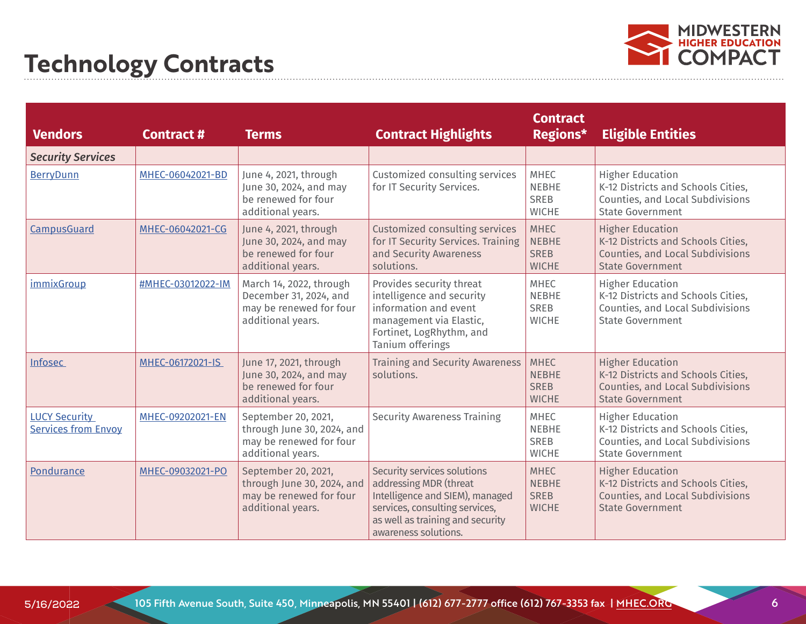

| <b>Vendors</b>                                     | <b>Contract #</b> | <b>Terms</b>                                                                                      | <b>Contract Highlights</b>                                                                                                                                                             | <b>Contract</b><br>Regions*                                | <b>Eligible Entities</b>                                                                                                     |
|----------------------------------------------------|-------------------|---------------------------------------------------------------------------------------------------|----------------------------------------------------------------------------------------------------------------------------------------------------------------------------------------|------------------------------------------------------------|------------------------------------------------------------------------------------------------------------------------------|
| <b>Security Services</b>                           |                   |                                                                                                   |                                                                                                                                                                                        |                                                            |                                                                                                                              |
| <b>BerryDunn</b>                                   | MHEC-06042021-BD  | June 4, 2021, through<br>June 30, 2024, and may<br>be renewed for four<br>additional years.       | Customized consulting services<br>for IT Security Services.                                                                                                                            | <b>MHEC</b><br><b>NEBHE</b><br>SREB<br><b>WICHE</b>        | <b>Higher Education</b><br>K-12 Districts and Schools Cities,<br>Counties, and Local Subdivisions<br><b>State Government</b> |
| CampusGuard                                        | MHEC-06042021-CG  | June 4, 2021, through<br>June 30, 2024, and may<br>be renewed for four<br>additional years.       | Customized consulting services<br>for IT Security Services. Training<br>and Security Awareness<br>solutions.                                                                           | <b>MHEC</b><br><b>NEBHE</b><br><b>SREB</b><br><b>WICHE</b> | <b>Higher Education</b><br>K-12 Districts and Schools Cities,<br>Counties, and Local Subdivisions<br><b>State Government</b> |
| <i>immixGroup</i>                                  | #MHEC-03012022-IM | March 14, 2022, through<br>December 31, 2024, and<br>may be renewed for four<br>additional years. | Provides security threat<br>intelligence and security<br>information and event<br>management via Elastic,<br>Fortinet, LogRhythm, and<br>Tanium offerings                              | <b>MHEC</b><br><b>NEBHE</b><br><b>SREB</b><br><b>WICHE</b> | <b>Higher Education</b><br>K-12 Districts and Schools Cities,<br>Counties, and Local Subdivisions<br><b>State Government</b> |
| Infosec                                            | MHEC-06172021-IS  | June 17, 2021, through<br>June 30, 2024, and may<br>be renewed for four<br>additional years.      | <b>Training and Security Awareness</b><br>solutions.                                                                                                                                   | <b>MHEC</b><br><b>NEBHE</b><br><b>SREB</b><br><b>WICHE</b> | <b>Higher Education</b><br>K-12 Districts and Schools Cities,<br>Counties, and Local Subdivisions<br><b>State Government</b> |
| <b>LUCY Security</b><br><b>Services from Envoy</b> | MHEC-09202021-EN  | September 20, 2021,<br>through June 30, 2024, and<br>may be renewed for four<br>additional years. | <b>Security Awareness Training</b>                                                                                                                                                     | <b>MHEC</b><br><b>NEBHE</b><br>SREB<br><b>WICHE</b>        | <b>Higher Education</b><br>K-12 Districts and Schools Cities,<br>Counties, and Local Subdivisions<br><b>State Government</b> |
| Pondurance                                         | MHEC-09032021-PO  | September 20, 2021,<br>through June 30, 2024, and<br>may be renewed for four<br>additional years. | Security services solutions<br>addressing MDR (threat<br>Intelligence and SIEM), managed<br>services, consulting services,<br>as well as training and security<br>awareness solutions. | <b>MHEC</b><br><b>NEBHE</b><br><b>SREB</b><br><b>WICHE</b> | <b>Higher Education</b><br>K-12 Districts and Schools Cities,<br>Counties, and Local Subdivisions<br><b>State Government</b> |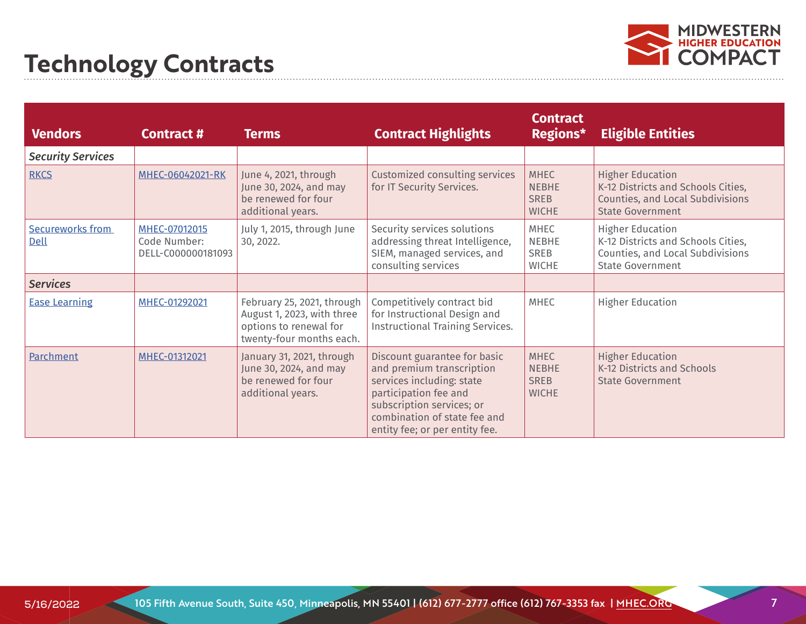

| <b>Vendors</b>                  | <b>Contract #</b>                                   | <b>Terms</b>                                                                                                   | <b>Contract Highlights</b>                                                                                                                                                                                     | <b>Contract</b><br>Regions*                                | <b>Eligible Entities</b>                                                                                                     |
|---------------------------------|-----------------------------------------------------|----------------------------------------------------------------------------------------------------------------|----------------------------------------------------------------------------------------------------------------------------------------------------------------------------------------------------------------|------------------------------------------------------------|------------------------------------------------------------------------------------------------------------------------------|
| <b>Security Services</b>        |                                                     |                                                                                                                |                                                                                                                                                                                                                |                                                            |                                                                                                                              |
| <b>RKCS</b>                     | MHEC-06042021-RK                                    | June 4, 2021, through<br>June 30, 2024, and may<br>be renewed for four<br>additional years.                    | Customized consulting services<br>for IT Security Services.                                                                                                                                                    | <b>MHEC</b><br><b>NEBHE</b><br><b>SREB</b><br><b>WICHE</b> | <b>Higher Education</b><br>K-12 Districts and Schools Cities,<br>Counties, and Local Subdivisions<br><b>State Government</b> |
| <b>Secureworks from</b><br>Dell | MHEC-07012015<br>Code Number:<br>DELL-C000000181093 | July 1, 2015, through June<br>30, 2022.                                                                        | Security services solutions<br>addressing threat Intelligence,<br>SIEM, managed services, and<br>consulting services                                                                                           | <b>MHEC</b><br>NEBHE<br><b>SREB</b><br><b>WICHE</b>        | <b>Higher Education</b><br>K-12 Districts and Schools Cities,<br>Counties, and Local Subdivisions<br><b>State Government</b> |
| <b>Services</b>                 |                                                     |                                                                                                                |                                                                                                                                                                                                                |                                                            |                                                                                                                              |
| <b>Ease Learning</b>            | MHEC-01292021                                       | February 25, 2021, through<br>August 1, 2023, with three<br>options to renewal for<br>twenty-four months each. | Competitively contract bid<br>for Instructional Design and<br><b>Instructional Training Services.</b>                                                                                                          | <b>MHEC</b>                                                | <b>Higher Education</b>                                                                                                      |
| Parchment                       | MHEC-01312021                                       | January 31, 2021, through<br>June 30, 2024, and may<br>be renewed for four<br>additional years.                | Discount guarantee for basic<br>and premium transcription<br>services including: state<br>participation fee and<br>subscription services; or<br>combination of state fee and<br>entity fee; or per entity fee. | <b>MHEC</b><br><b>NEBHE</b><br><b>SREB</b><br><b>WICHE</b> | <b>Higher Education</b><br>K-12 Districts and Schools<br><b>State Government</b>                                             |

7